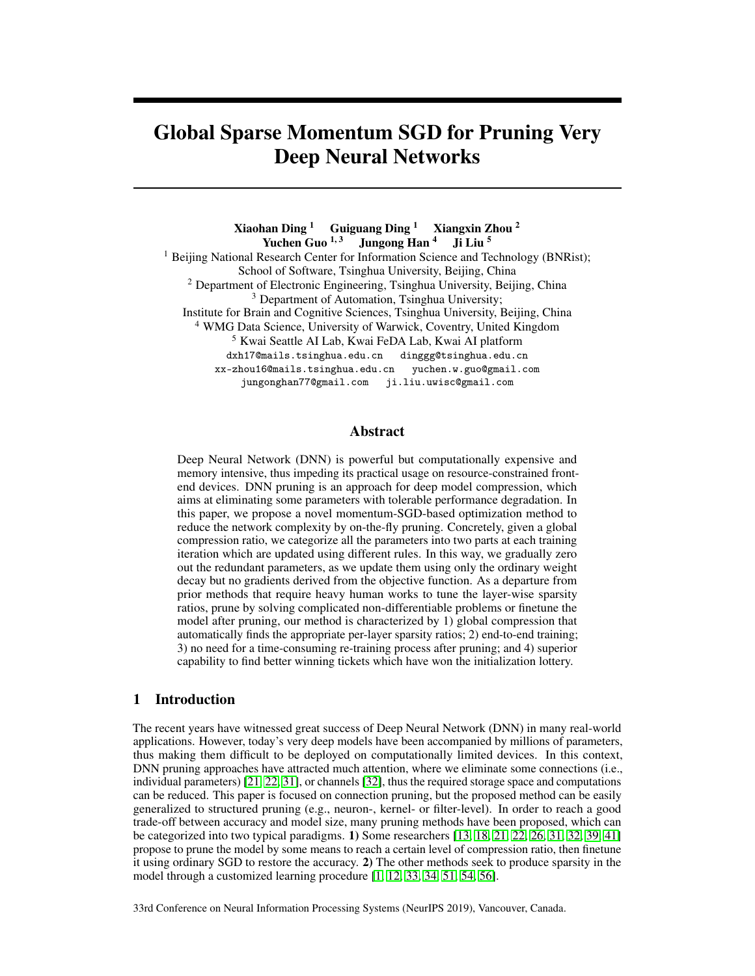# Global Sparse Momentum SGD for Pruning Very Deep Neural Networks

Xiaohan Ding  $1$  Guiguang Ding  $1$  Xiangxin Zhou  $^2$ Yuchen Guo<sup>1, 3</sup> Jungong Han<sup>4</sup> Ji Liu<sup>5</sup> <sup>1</sup> Beijing National Research Center for Information Science and Technology (BNRist); School of Software, Tsinghua University, Beijing, China <sup>2</sup> Department of Electronic Engineering, Tsinghua University, Beijing, China <sup>3</sup> Department of Automation, Tsinghua University; Institute for Brain and Cognitive Sciences, Tsinghua University, Beijing, China <sup>4</sup> WMG Data Science, University of Warwick, Coventry, United Kingdom <sup>5</sup> Kwai Seattle AI Lab, Kwai FeDA Lab, Kwai AI platform dxh17@mails.tsinghua.edu.cn dinggg@tsinghua.edu.cn xx-zhou16@mails.tsinghua.edu.cn yuchen.w.guo@gmail.com jungonghan77@gmail.com ji.liu.uwisc@gmail.com

## Abstract

Deep Neural Network (DNN) is powerful but computationally expensive and memory intensive, thus impeding its practical usage on resource-constrained frontend devices. DNN pruning is an approach for deep model compression, which aims at eliminating some parameters with tolerable performance degradation. In this paper, we propose a novel momentum-SGD-based optimization method to reduce the network complexity by on-the-fly pruning. Concretely, given a global compression ratio, we categorize all the parameters into two parts at each training iteration which are updated using different rules. In this way, we gradually zero out the redundant parameters, as we update them using only the ordinary weight decay but no gradients derived from the objective function. As a departure from prior methods that require heavy human works to tune the layer-wise sparsity ratios, prune by solving complicated non-differentiable problems or finetune the model after pruning, our method is characterized by 1) global compression that automatically finds the appropriate per-layer sparsity ratios; 2) end-to-end training; 3) no need for a time-consuming re-training process after pruning; and 4) superior capability to find better winning tickets which have won the initialization lottery.

## 1 Introduction

The recent years have witnessed great success of Deep Neural Network (DNN) in many real-world applications. However, today's very deep models have been accompanied by millions of parameters, thus making them difficult to be deployed on computationally limited devices. In this context, DNN pruning approaches have attracted much attention, where we eliminate some connections (i.e., individual parameters) [21, 22, 31], or channels [32], thus the required storage space and computations can be reduced. This paper is focused on connection pruning, but the proposed method can be easily generalized to structured pruning (e.g., neuron-, kernel- or filter-level). In order to reach a good trade-off between accuracy and model size, many pruning methods have been proposed, which can be categorized into two typical paradigms. 1) Some researchers [13, 18, 21, 22, 26, 31, 32, 39, 41] propose to prune the model by some means to reach a certain level of compression ratio, then finetune it using ordinary SGD to restore the accuracy. 2) The other methods seek to produce sparsity in the model through a customized learning procedure [1, 12, 33, 34, 51, 54, 56].

33rd Conference on Neural Information Processing Systems (NeurIPS 2019), Vancouver, Canada.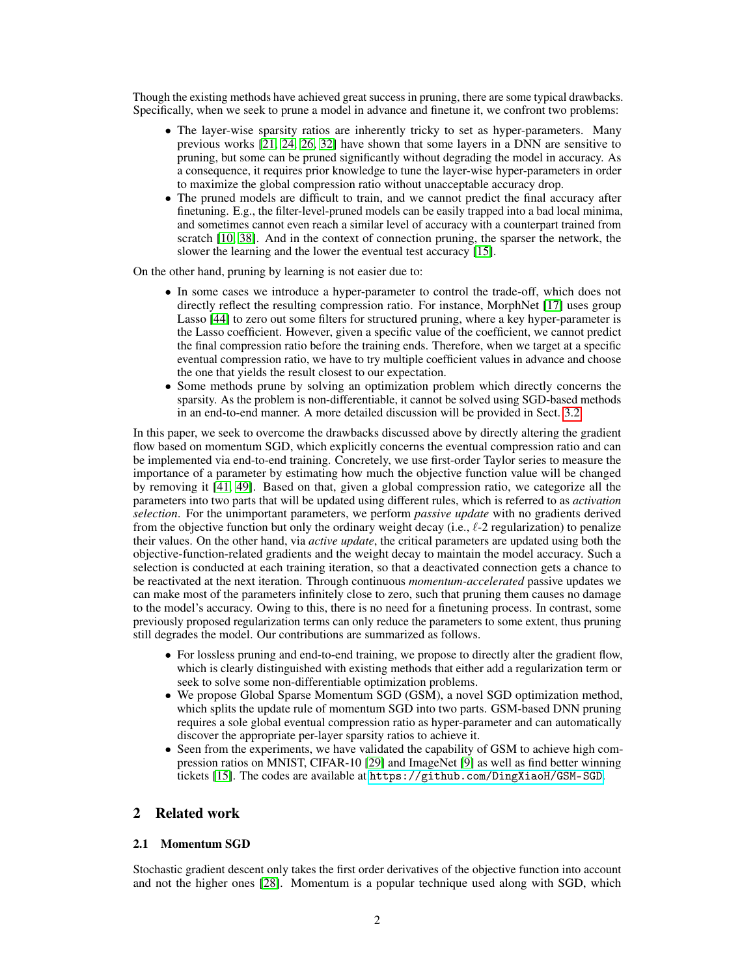Though the existing methods have achieved great success in pruning, there are some typical drawbacks. Specifically, when we seek to prune a model in advance and finetune it, we confront two problems:

- The layer-wise sparsity ratios are inherently tricky to set as hyper-parameters. Many previous works [21, 24, 26, 32] have shown that some layers in a DNN are sensitive to pruning, but some can be pruned significantly without degrading the model in accuracy. As a consequence, it requires prior knowledge to tune the layer-wise hyper-parameters in order to maximize the global compression ratio without unacceptable accuracy drop.
- The pruned models are difficult to train, and we cannot predict the final accuracy after finetuning. E.g., the filter-level-pruned models can be easily trapped into a bad local minima, and sometimes cannot even reach a similar level of accuracy with a counterpart trained from scratch [10, 38]. And in the context of connection pruning, the sparser the network, the slower the learning and the lower the eventual test accuracy [15].

On the other hand, pruning by learning is not easier due to:

- In some cases we introduce a hyper-parameter to control the trade-off, which does not directly reflect the resulting compression ratio. For instance, MorphNet [17] uses group Lasso [44] to zero out some filters for structured pruning, where a key hyper-parameter is the Lasso coefficient. However, given a specific value of the coefficient, we cannot predict the final compression ratio before the training ends. Therefore, when we target at a specific eventual compression ratio, we have to try multiple coefficient values in advance and choose the one that yields the result closest to our expectation.
- Some methods prune by solving an optimization problem which directly concerns the sparsity. As the problem is non-differentiable, it cannot be solved using SGD-based methods in an end-to-end manner. A more detailed discussion will be provided in Sect. 3.2.

In this paper, we seek to overcome the drawbacks discussed above by directly altering the gradient flow based on momentum SGD, which explicitly concerns the eventual compression ratio and can be implemented via end-to-end training. Concretely, we use first-order Taylor series to measure the importance of a parameter by estimating how much the objective function value will be changed by removing it [41, 49]. Based on that, given a global compression ratio, we categorize all the parameters into two parts that will be updated using different rules, which is referred to as *activation selection*. For the unimportant parameters, we perform *passive update* with no gradients derived from the objective function but only the ordinary weight decay (i.e.,  $\ell$ -2 regularization) to penalize their values. On the other hand, via *active update*, the critical parameters are updated using both the objective-function-related gradients and the weight decay to maintain the model accuracy. Such a selection is conducted at each training iteration, so that a deactivated connection gets a chance to be reactivated at the next iteration. Through continuous *momentum-accelerated* passive updates we can make most of the parameters infinitely close to zero, such that pruning them causes no damage to the model's accuracy. Owing to this, there is no need for a finetuning process. In contrast, some previously proposed regularization terms can only reduce the parameters to some extent, thus pruning still degrades the model. Our contributions are summarized as follows.

- For lossless pruning and end-to-end training, we propose to directly alter the gradient flow, which is clearly distinguished with existing methods that either add a regularization term or seek to solve some non-differentiable optimization problems.
- We propose Global Sparse Momentum SGD (GSM), a novel SGD optimization method, which splits the update rule of momentum SGD into two parts. GSM-based DNN pruning requires a sole global eventual compression ratio as hyper-parameter and can automatically discover the appropriate per-layer sparsity ratios to achieve it.
- Seen from the experiments, we have validated the capability of GSM to achieve high compression ratios on MNIST, CIFAR-10 [29] and ImageNet [9] as well as find better winning tickets [15]. The codes are available at <https://github.com/DingXiaoH/GSM-SGD>.

# 2 Related work

#### 2.1 Momentum SGD

Stochastic gradient descent only takes the first order derivatives of the objective function into account and not the higher ones [28]. Momentum is a popular technique used along with SGD, which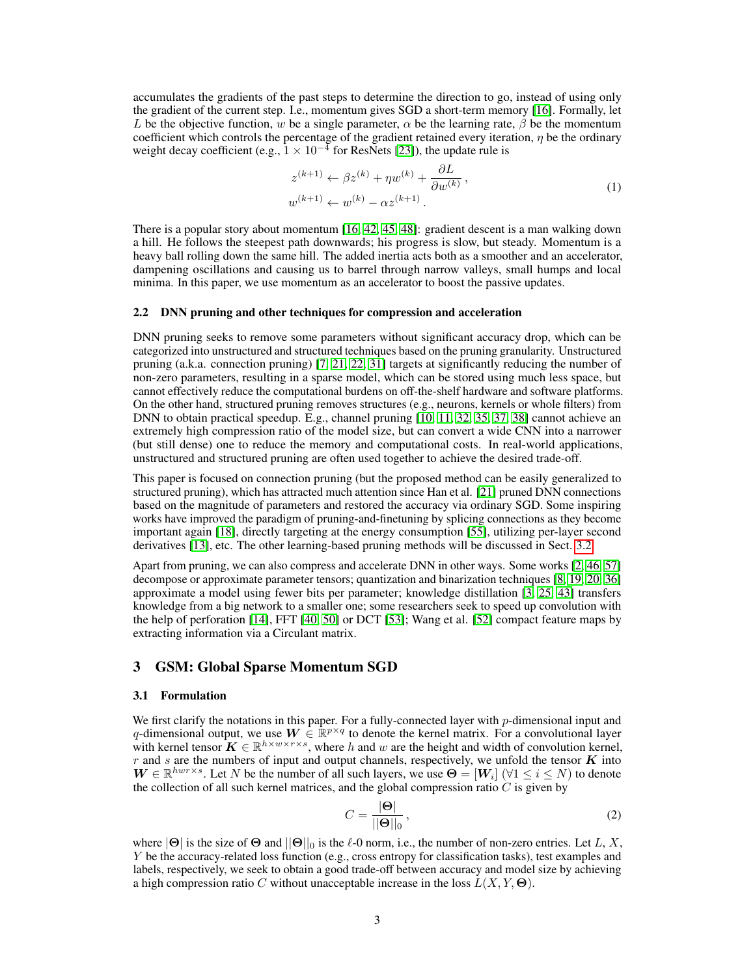accumulates the gradients of the past steps to determine the direction to go, instead of using only the gradient of the current step. I.e., momentum gives SGD a short-term memory [16]. Formally, let L be the objective function, w be a single parameter,  $\alpha$  be the learning rate,  $\beta$  be the momentum coefficient which controls the percentage of the gradient retained every iteration,  $\eta$  be the ordinary weight decay coefficient (e.g.,  $1 \times 10^{-4}$  for ResNets [23]), the update rule is

$$
z^{(k+1)} \leftarrow \beta z^{(k)} + \eta w^{(k)} + \frac{\partial L}{\partial w^{(k)}},
$$
  

$$
w^{(k+1)} \leftarrow w^{(k)} - \alpha z^{(k+1)}.
$$
 (1)

There is a popular story about momentum [16, 42, 45, 48]: gradient descent is a man walking down a hill. He follows the steepest path downwards; his progress is slow, but steady. Momentum is a heavy ball rolling down the same hill. The added inertia acts both as a smoother and an accelerator, dampening oscillations and causing us to barrel through narrow valleys, small humps and local minima. In this paper, we use momentum as an accelerator to boost the passive updates.

#### 2.2 DNN pruning and other techniques for compression and acceleration

DNN pruning seeks to remove some parameters without significant accuracy drop, which can be categorized into unstructured and structured techniques based on the pruning granularity. Unstructured pruning (a.k.a. connection pruning) [7, 21, 22, 31] targets at significantly reducing the number of non-zero parameters, resulting in a sparse model, which can be stored using much less space, but cannot effectively reduce the computational burdens on off-the-shelf hardware and software platforms. On the other hand, structured pruning removes structures (e.g., neurons, kernels or whole filters) from DNN to obtain practical speedup. E.g., channel pruning [10, 11, 32, 35, 37, 38] cannot achieve an extremely high compression ratio of the model size, but can convert a wide CNN into a narrower (but still dense) one to reduce the memory and computational costs. In real-world applications, unstructured and structured pruning are often used together to achieve the desired trade-off.

This paper is focused on connection pruning (but the proposed method can be easily generalized to structured pruning), which has attracted much attention since Han et al. [21] pruned DNN connections based on the magnitude of parameters and restored the accuracy via ordinary SGD. Some inspiring works have improved the paradigm of pruning-and-finetuning by splicing connections as they become important again [18], directly targeting at the energy consumption [55], utilizing per-layer second derivatives [13], etc. The other learning-based pruning methods will be discussed in Sect. 3.2

Apart from pruning, we can also compress and accelerate DNN in other ways. Some works [2, 46, 57] decompose or approximate parameter tensors; quantization and binarization techniques [8, 19, 20, 36] approximate a model using fewer bits per parameter; knowledge distillation [3, 25, 43] transfers knowledge from a big network to a smaller one; some researchers seek to speed up convolution with the help of perforation [14], FFT [40, 50] or DCT [53]; Wang et al. [52] compact feature maps by extracting information via a Circulant matrix.

## 3 GSM: Global Sparse Momentum SGD

#### 3.1 Formulation

We first clarify the notations in this paper. For a fully-connected layer with p-dimensional input and q-dimensional output, we use  $W \in \mathbb{R}^{p \times q}$  to denote the kernel matrix. For a convolutional layer with kernel tensor  $\mathbf{K} \in \mathbb{R}^{h \times w \times r \times s}$ , where h and w are the height and width of convolution kernel, r and s are the numbers of input and output channels, respectively, we unfold the tensor  $\boldsymbol{K}$  into  $W \in \mathbb{R}^{hwr \times s}$ . Let N be the number of all such layers, we use  $\Theta = [W_i]$  ( $\forall 1 \le i \le N$ ) to denote the collection of all such kernel matrices, and the global compression ratio  $C$  is given by

$$
C = \frac{|\Theta|}{||\Theta||_0},\tag{2}
$$

where  $|\Theta|$  is the size of  $\Theta$  and  $||\Theta||_0$  is the  $\ell$ -0 norm, i.e., the number of non-zero entries. Let L, X, Y be the accuracy-related loss function (e.g., cross entropy for classification tasks), test examples and labels, respectively, we seek to obtain a good trade-off between accuracy and model size by achieving a high compression ratio C without unacceptable increase in the loss  $L(X, Y, \Theta)$ .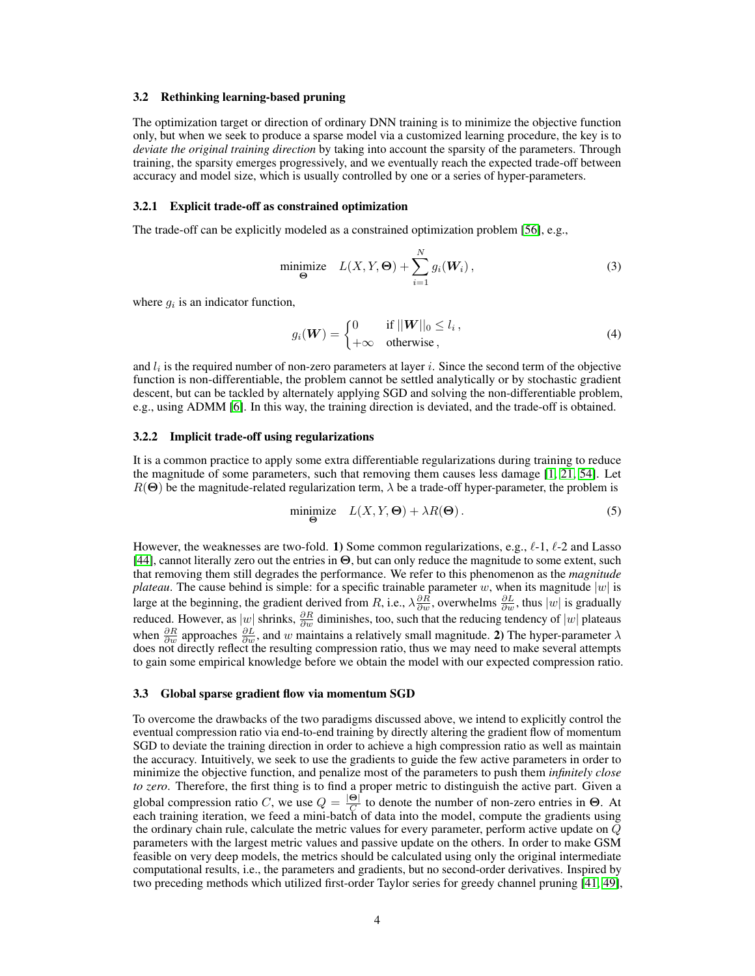#### 3.2 Rethinking learning-based pruning

The optimization target or direction of ordinary DNN training is to minimize the objective function only, but when we seek to produce a sparse model via a customized learning procedure, the key is to *deviate the original training direction* by taking into account the sparsity of the parameters. Through training, the sparsity emerges progressively, and we eventually reach the expected trade-off between accuracy and model size, which is usually controlled by one or a series of hyper-parameters.

#### 3.2.1 Explicit trade-off as constrained optimization

The trade-off can be explicitly modeled as a constrained optimization problem [56], e.g.,

$$
\underset{\Theta}{\text{minimize}} \quad L(X, Y, \Theta) + \sum_{i=1}^{N} g_i(\boldsymbol{W}_i) \,, \tag{3}
$$

where  $g_i$  is an indicator function,

$$
g_i(\boldsymbol{W}) = \begin{cases} 0 & \text{if } ||\boldsymbol{W}||_0 \le l_i, \\ +\infty & \text{otherwise}, \end{cases}
$$
 (4)

and  $l_i$  is the required number of non-zero parameters at layer i. Since the second term of the objective function is non-differentiable, the problem cannot be settled analytically or by stochastic gradient descent, but can be tackled by alternately applying SGD and solving the non-differentiable problem, e.g., using ADMM [6]. In this way, the training direction is deviated, and the trade-off is obtained.

## 3.2.2 Implicit trade-off using regularizations

It is a common practice to apply some extra differentiable regularizations during training to reduce the magnitude of some parameters, such that removing them causes less damage [1, 21, 54]. Let  $R(\Theta)$  be the magnitude-related regularization term,  $\lambda$  be a trade-off hyper-parameter, the problem is

$$
\underset{\Theta}{\text{minimize}} \quad L(X, Y, \Theta) + \lambda R(\Theta). \tag{5}
$$

However, the weaknesses are two-fold. 1) Some common regularizations, e.g.,  $\ell$ -1,  $\ell$ -2 and Lasso [44], cannot literally zero out the entries in Θ, but can only reduce the magnitude to some extent, such that removing them still degrades the performance. We refer to this phenomenon as the *magnitude plateau*. The cause behind is simple: for a specific trainable parameter w, when its magnitude  $|w|$  is large at the beginning, the gradient derived from R, i.e.,  $\lambda \frac{\partial R}{\partial w}$ , overwhelms  $\frac{\partial L}{\partial w}$ , thus  $|w|$  is gradually reduced. However, as  $|w|$  shrinks,  $\frac{\partial R}{\partial w}$  diminishes, too, such that the reducing tendency of  $|w|$  plateaus when  $\frac{\partial R}{\partial w}$  approaches  $\frac{\partial L}{\partial w}$ , and w maintains a relatively small magnitude. 2) The hyper-parameter  $\lambda$ does not directly reflect the resulting compression ratio, thus we may need to make several attempts to gain some empirical knowledge before we obtain the model with our expected compression ratio.

#### 3.3 Global sparse gradient flow via momentum SGD

To overcome the drawbacks of the two paradigms discussed above, we intend to explicitly control the eventual compression ratio via end-to-end training by directly altering the gradient flow of momentum SGD to deviate the training direction in order to achieve a high compression ratio as well as maintain the accuracy. Intuitively, we seek to use the gradients to guide the few active parameters in order to minimize the objective function, and penalize most of the parameters to push them *infinitely close to zero*. Therefore, the first thing is to find a proper metric to distinguish the active part. Given a global compression ratio C, we use  $Q = \frac{|\Theta|}{C}$  $\frac{\Theta}{C}$  to denote the number of non-zero entries in  $\Theta$ . At each training iteration, we feed a mini-batch of data into the model, compute the gradients using the ordinary chain rule, calculate the metric values for every parameter, perform active update on Q parameters with the largest metric values and passive update on the others. In order to make GSM feasible on very deep models, the metrics should be calculated using only the original intermediate computational results, i.e., the parameters and gradients, but no second-order derivatives. Inspired by two preceding methods which utilized first-order Taylor series for greedy channel pruning [41, 49],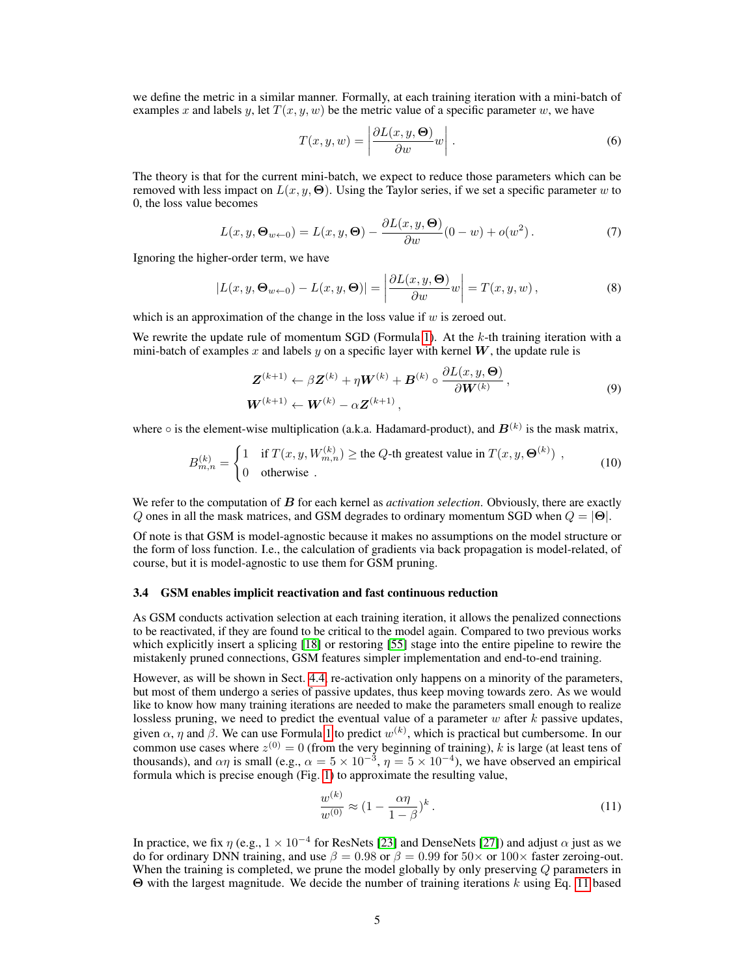we define the metric in a similar manner. Formally, at each training iteration with a mini-batch of examples x and labels y, let  $T(x, y, w)$  be the metric value of a specific parameter w, we have

$$
T(x, y, w) = \left| \frac{\partial L(x, y, \Theta)}{\partial w} w \right|.
$$
 (6)

The theory is that for the current mini-batch, we expect to reduce those parameters which can be removed with less impact on  $L(x, y, \Theta)$ . Using the Taylor series, if we set a specific parameter w to 0, the loss value becomes

$$
L(x, y, \Theta_{w \leftarrow 0}) = L(x, y, \Theta) - \frac{\partial L(x, y, \Theta)}{\partial w} (0 - w) + o(w^2).
$$
 (7)

Ignoring the higher-order term, we have

$$
|L(x, y, \Theta_{w \leftarrow 0}) - L(x, y, \Theta)| = \left| \frac{\partial L(x, y, \Theta)}{\partial w} w \right| = T(x, y, w), \tag{8}
$$

which is an approximation of the change in the loss value if  $w$  is zeroed out.

We rewrite the update rule of momentum SGD (Formula 1). At the  $k$ -th training iteration with a mini-batch of examples x and labels y on a specific layer with kernel  $W$ , the update rule is

$$
\mathbf{Z}^{(k+1)} \leftarrow \beta \mathbf{Z}^{(k)} + \eta \mathbf{W}^{(k)} + \mathbf{B}^{(k)} \circ \frac{\partial L(x, y, \boldsymbol{\Theta})}{\partial \mathbf{W}^{(k)}},
$$
  
\n
$$
\mathbf{W}^{(k+1)} \leftarrow \mathbf{W}^{(k)} - \alpha \mathbf{Z}^{(k+1)},
$$
\n(9)

where  $\circ$  is the element-wise multiplication (a.k.a. Hadamard-product), and  $B^{(k)}$  is the mask matrix,

$$
B_{m,n}^{(k)} = \begin{cases} 1 & \text{if } T(x, y, W_{m,n}^{(k)}) \ge \text{the } Q\text{-th greatest value in } T(x, y, \Theta^{(k)}) \\ 0 & \text{otherwise} \end{cases} (10)
$$

We refer to the computation of B for each kernel as *activation selection*. Obviously, there are exactly Q ones in all the mask matrices, and GSM degrades to ordinary momentum SGD when  $Q = |\Theta|$ .

Of note is that GSM is model-agnostic because it makes no assumptions on the model structure or the form of loss function. I.e., the calculation of gradients via back propagation is model-related, of course, but it is model-agnostic to use them for GSM pruning.

#### 3.4 GSM enables implicit reactivation and fast continuous reduction

As GSM conducts activation selection at each training iteration, it allows the penalized connections to be reactivated, if they are found to be critical to the model again. Compared to two previous works which explicitly insert a splicing [18] or restoring [55] stage into the entire pipeline to rewire the mistakenly pruned connections, GSM features simpler implementation and end-to-end training.

However, as will be shown in Sect. 4.4, re-activation only happens on a minority of the parameters, but most of them undergo a series of passive updates, thus keep moving towards zero. As we would like to know how many training iterations are needed to make the parameters small enough to realize lossless pruning, we need to predict the eventual value of a parameter  $w$  after  $k$  passive updates, given  $\alpha$ ,  $\eta$  and  $\beta$ . We can use Formula 1 to predict  $w^{(k)}$ , which is practical but cumbersome. In our common use cases where  $z^{(0)} = 0$  (from the very beginning of training), k is large (at least tens of thousands), and  $\alpha\eta$  is small (e.g.,  $\alpha = 5 \times 10^{-3}$ ,  $\eta = 5 \times 10^{-4}$ ), we have observed an empirical formula which is precise enough (Fig. 1) to approximate the resulting value,

$$
\frac{w^{(k)}}{w^{(0)}} \approx \left(1 - \frac{\alpha \eta}{1 - \beta}\right)^k. \tag{11}
$$

In practice, we fix  $\eta$  (e.g.,  $1 \times 10^{-4}$  for ResNets [23] and DenseNets [27]) and adjust  $\alpha$  just as we do for ordinary DNN training, and use  $\beta = 0.98$  or  $\beta = 0.99$  for  $50 \times$  or  $100 \times$  faster zeroing-out. When the training is completed, we prune the model globally by only preserving  $Q$  parameters in Θ with the largest magnitude. We decide the number of training iterations k using Eq. 11 based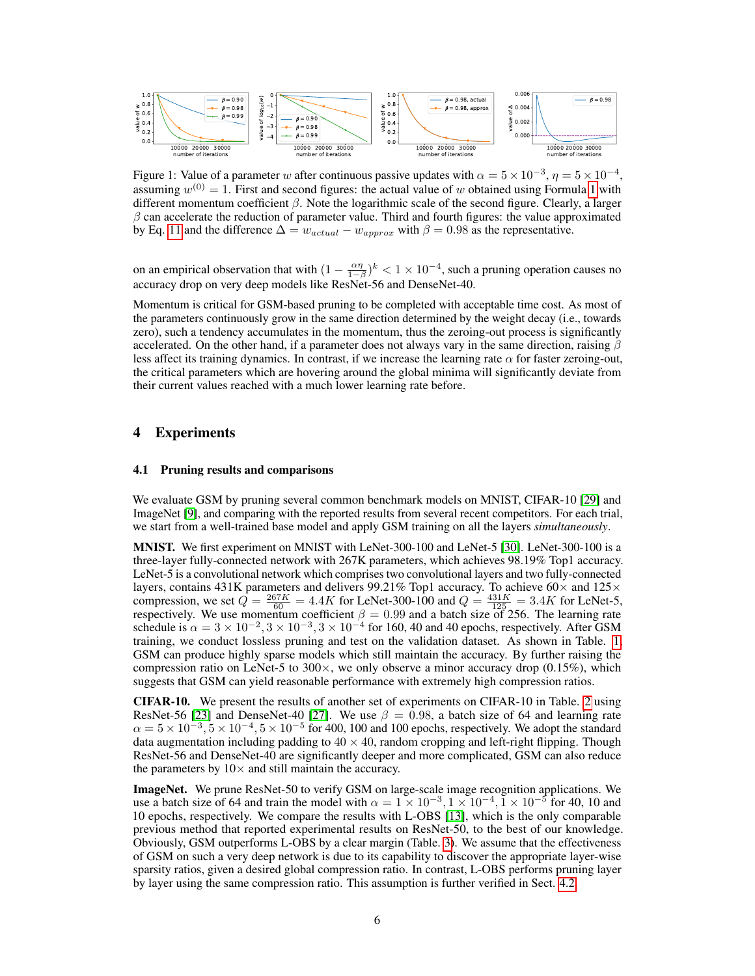

Figure 1: Value of a parameter w after continuous passive updates with  $\alpha = 5 \times 10^{-3}$ ,  $\eta = 5 \times 10^{-4}$ , assuming  $w^{(0)} = 1$ . First and second figures: the actual value of w obtained using Formula 1 with different momentum coefficient β. Note the logarithmic scale of the second figure. Clearly, a larger  $\beta$  can accelerate the reduction of parameter value. Third and fourth figures: the value approximated by Eq. 11 and the difference  $\Delta = w_{actual} - w_{approx}$  with  $\beta = 0.98$  as the representative.

on an empirical observation that with  $(1 - \frac{\alpha \eta}{1 - \beta})^k < 1 \times 10^{-4}$ , such a pruning operation causes no accuracy drop on very deep models like ResNet-56 and DenseNet-40.

Momentum is critical for GSM-based pruning to be completed with acceptable time cost. As most of the parameters continuously grow in the same direction determined by the weight decay (i.e., towards zero), such a tendency accumulates in the momentum, thus the zeroing-out process is significantly accelerated. On the other hand, if a parameter does not always vary in the same direction, raising  $\beta$ less affect its training dynamics. In contrast, if we increase the learning rate  $\alpha$  for faster zeroing-out, the critical parameters which are hovering around the global minima will significantly deviate from their current values reached with a much lower learning rate before.

# 4 Experiments

#### 4.1 Pruning results and comparisons

We evaluate GSM by pruning several common benchmark models on MNIST, CIFAR-10 [29] and ImageNet [9], and comparing with the reported results from several recent competitors. For each trial, we start from a well-trained base model and apply GSM training on all the layers *simultaneously*.

MNIST. We first experiment on MNIST with LeNet-300-100 and LeNet-5 [30]. LeNet-300-100 is a three-layer fully-connected network with 267K parameters, which achieves 98.19% Top1 accuracy. LeNet-5 is a convolutional network which comprises two convolutional layers and two fully-connected layers, contains 431K parameters and delivers 99.21% Top1 accuracy. To achieve 60 $\times$  and 125 $\times$ compression, we set  $\hat{Q} = \frac{267K}{60} = 4.4K$  for LeNet-300-100 and  $Q = \frac{431K}{125} = 3.4K$  for LeNet-5, respectively. We use momentum coefficient  $\beta = 0.99$  and a batch size of 256. The learning rate schedule is  $\alpha = 3 \times 10^{-2}$ ,  $3 \times 10^{-3}$ ,  $3 \times 10^{-4}$  for 160, 40 and 40 epochs, respectively. After GSM training, we conduct lossless pruning and test on the validation dataset. As shown in Table. 1, GSM can produce highly sparse models which still maintain the accuracy. By further raising the compression ratio on LeNet-5 to  $300 \times$ , we only observe a minor accuracy drop  $(0.15\%)$ , which suggests that GSM can yield reasonable performance with extremely high compression ratios.

CIFAR-10. We present the results of another set of experiments on CIFAR-10 in Table. 2 using ResNet-56 [23] and DenseNet-40 [27]. We use  $\beta = 0.98$ , a batch size of 64 and learning rate  $\alpha = 5 \times 10^{-3}$ ,  $5 \times 10^{-4}$ ,  $5 \times 10^{-5}$  for 400, 100 and 100 epochs, respectively. We adopt the standard data augmentation including padding to  $40 \times 40$ , random cropping and left-right flipping. Though ResNet-56 and DenseNet-40 are significantly deeper and more complicated, GSM can also reduce the parameters by  $10\times$  and still maintain the accuracy.

ImageNet. We prune ResNet-50 to verify GSM on large-scale image recognition applications. We use a batch size of 64 and train the model with  $\alpha = 1 \times 10^{-3}$ ,  $1 \times 10^{-4}$ ,  $1 \times 10^{-5}$  for 40, 10 and 10 epochs, respectively. We compare the results with L-OBS [13], which is the only comparable previous method that reported experimental results on ResNet-50, to the best of our knowledge. Obviously, GSM outperforms L-OBS by a clear margin (Table. 3). We assume that the effectiveness of GSM on such a very deep network is due to its capability to discover the appropriate layer-wise sparsity ratios, given a desired global compression ratio. In contrast, L-OBS performs pruning layer by layer using the same compression ratio. This assumption is further verified in Sect. 4.2.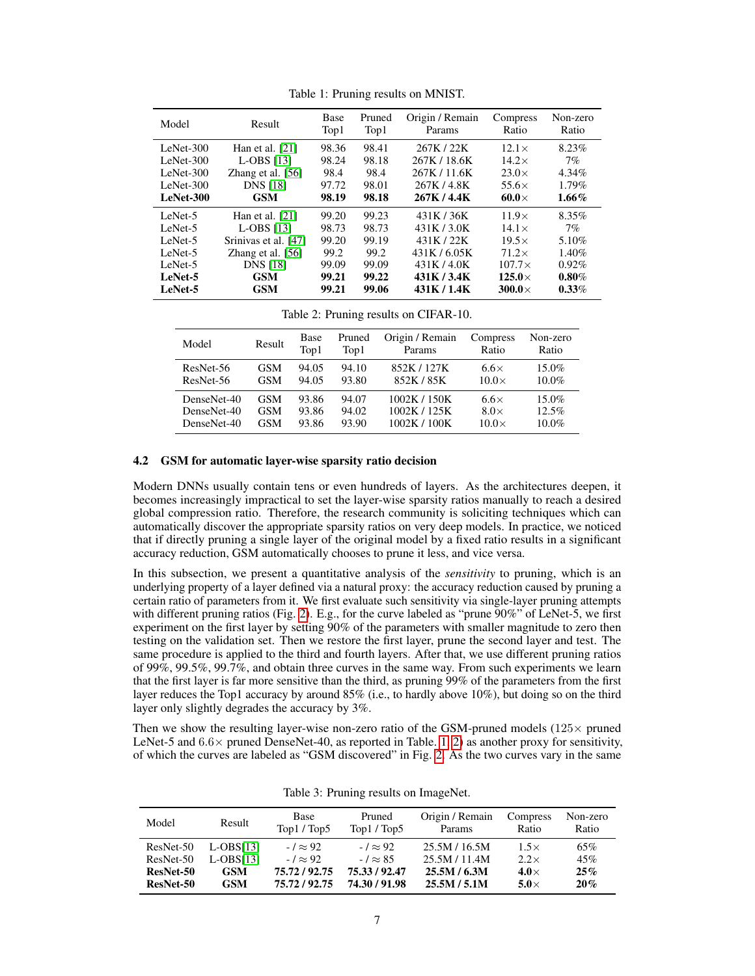| Model       | Result               | <b>Base</b><br>Top1 | Pruned<br>Top1 | Origin / Remain<br>Params | Compress<br>Ratio | Non-zero<br>Ratio |
|-------------|----------------------|---------------------|----------------|---------------------------|-------------------|-------------------|
| LeNet-300   | Han et al. $[21]$    | 98.36               | 98.41          | 267K / 22K                | $12.1\times$      | 8.23%             |
| LeNet-300   | $L-OBS$ [13]         | 98.24               | 98.18          | 267K / 18.6K              | $14.2\times$      | 7%                |
| LeNet-300   | Zhang et al. $[56]$  | 98.4                | 98.4           | 267K / 11.6K              | $23.0\times$      | 4.34%             |
| $LeNet-300$ | <b>DNS</b> [18]      | 97.72               | 98.01          | 267K / 4.8K               | $55.6\times$      | $1.79\%$          |
| LeNet-300   | <b>GSM</b>           | 98.19               | 98.18          | 267K/4.4K                 | 60.0 $\times$     | $1.66\%$          |
| LeNet-5     | Han et al. $[21]$    | 99.20               | 99.23          | 431K/36K                  | $11.9\times$      | 8.35%             |
| LeNet-5     | $L-OBS$ [13]         | 98.73               | 98.73          | 431K/3.0K                 | $14.1\times$      | 7%                |
| LeNet-5     | Srinivas et al. [47] | 99.20               | 99.19          | 431K/22K                  | $19.5\times$      | 5.10%             |
| LeNet-5     | Zhang et al. $[56]$  | 99.2                | 99.2           | 431K/6.05K                | $71.2\times$      | 1.40%             |
| LeNet-5     | <b>DNS</b> [18]      | 99.09               | 99.09          | 431K/4.0K                 | $107.7\times$     | $0.92\%$          |
| LeNet-5     | <b>GSM</b>           | 99.21               | 99.22          | 431K / 3.4K               | $125.0\times$     | $0.80\%$          |
| LeNet-5     | <b>GSM</b>           | 99.21               | 99.06          | 431K/1.4K                 | $300.0\times$     | $0.33\%$          |

Table 1: Pruning results on MNIST.

Table 2: Pruning results on CIFAR-10.

| Model       | Result     | Base<br>Top1 | Pruned<br>Top1 | Origin / Remain<br>Params | Compress<br>Ratio | Non-zero<br>Ratio |
|-------------|------------|--------------|----------------|---------------------------|-------------------|-------------------|
| ResNet-56   | <b>GSM</b> | 94.05        | 94.10          | 852K / 127K               | $6.6\times$       | $15.0\%$          |
| ResNet-56   | <b>GSM</b> | 94.05        | 93.80          | 852K / 85K                | $10.0\times$      | $10.0\%$          |
| DenseNet-40 | <b>GSM</b> | 93.86        | 94.07          | 1002K/150K                | $6.6\times$       | $15.0\%$          |
| DenseNet-40 | <b>GSM</b> | 93.86        | 94.02          | 1002K / 125K              | $8.0\times$       | 12.5%             |
| DenseNet-40 | GSM        | 93.86        | 93.90          | 1002K/100K                | $10.0\times$      | $10.0\%$          |

## 4.2 GSM for automatic layer-wise sparsity ratio decision

Modern DNNs usually contain tens or even hundreds of layers. As the architectures deepen, it becomes increasingly impractical to set the layer-wise sparsity ratios manually to reach a desired global compression ratio. Therefore, the research community is soliciting techniques which can automatically discover the appropriate sparsity ratios on very deep models. In practice, we noticed that if directly pruning a single layer of the original model by a fixed ratio results in a significant accuracy reduction, GSM automatically chooses to prune it less, and vice versa.

In this subsection, we present a quantitative analysis of the *sensitivity* to pruning, which is an underlying property of a layer defined via a natural proxy: the accuracy reduction caused by pruning a certain ratio of parameters from it. We first evaluate such sensitivity via single-layer pruning attempts with different pruning ratios (Fig. 2). E.g., for the curve labeled as "prune 90%" of LeNet-5, we first experiment on the first layer by setting 90% of the parameters with smaller magnitude to zero then testing on the validation set. Then we restore the first layer, prune the second layer and test. The same procedure is applied to the third and fourth layers. After that, we use different pruning ratios of 99%, 99.5%, 99.7%, and obtain three curves in the same way. From such experiments we learn that the first layer is far more sensitive than the third, as pruning 99% of the parameters from the first layer reduces the Top1 accuracy by around 85% (i.e., to hardly above 10%), but doing so on the third layer only slightly degrades the accuracy by 3%.

Then we show the resulting layer-wise non-zero ratio of the GSM-pruned models ( $125\times$  pruned LeNet-5 and  $6.6\times$  pruned DenseNet-40, as reported in Table. 1, 2) as another proxy for sensitivity, of which the curves are labeled as "GSM discovered" in Fig. 2. As the two curves vary in the same

| Model     | Result      | Base<br>Top1/Top5 | Pruned<br>Top1 / Top5 | Origin / Remain<br><b>Params</b> | Compress<br>Ratio | Non-zero<br>Ratio |
|-----------|-------------|-------------------|-----------------------|----------------------------------|-------------------|-------------------|
| ResNet-50 | $L-DBS[13]$ | $-1 \approx 92$   | $-1 \approx 92$       | 25.5M / 16.5M                    | $1.5\times$       | 65%               |
| ResNet-50 | $L-OBS[13]$ | $-1 \approx 92$   | $-1 \approx 85$       | 25.5M/11.4M                      | $2.2\times$       | 45%               |
| ResNet-50 | <b>GSM</b>  | 75.72 / 92.75     | 75.33 / 92.47         | 25.5M / 6.3M                     | 4.0 $\times$      | 25%               |
| ResNet-50 | <b>GSM</b>  | 75.72 / 92.75     | 74.30/91.98           | 25.5M / 5.1M                     | $5.0\times$       | 20%               |

Table 3: Pruning results on ImageNet.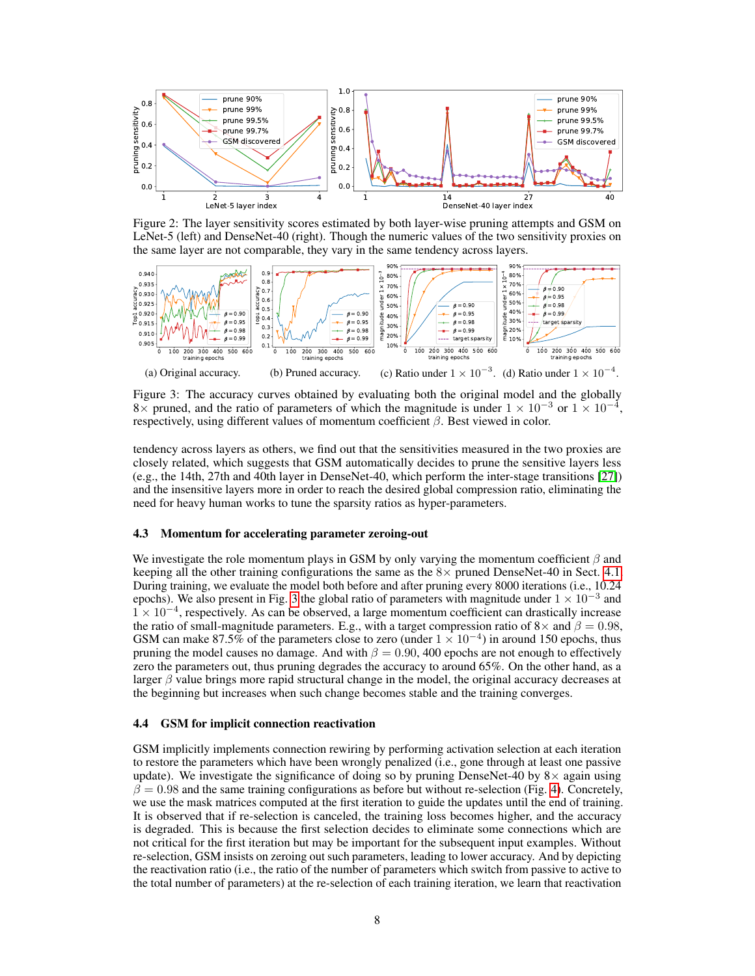

Figure 2: The layer sensitivity scores estimated by both layer-wise pruning attempts and GSM on LeNet-5 (left) and DenseNet-40 (right). Though the numeric values of the two sensitivity proxies on the same layer are not comparable, they vary in the same tendency across layers.



Figure 3: The accuracy curves obtained by evaluating both the original model and the globally 8× pruned, and the ratio of parameters of which the magnitude is under  $1 \times 10^{-3}$  or  $1 \times 10^{-4}$ , respectively, using different values of momentum coefficient  $\beta$ . Best viewed in color.

tendency across layers as others, we find out that the sensitivities measured in the two proxies are closely related, which suggests that GSM automatically decides to prune the sensitive layers less (e.g., the 14th, 27th and 40th layer in DenseNet-40, which perform the inter-stage transitions [27]) and the insensitive layers more in order to reach the desired global compression ratio, eliminating the need for heavy human works to tune the sparsity ratios as hyper-parameters.

#### 4.3 Momentum for accelerating parameter zeroing-out

We investigate the role momentum plays in GSM by only varying the momentum coefficient  $\beta$  and keeping all the other training configurations the same as the  $8\times$  pruned DenseNet-40 in Sect. 4.1. During training, we evaluate the model both before and after pruning every 8000 iterations (i.e., 10.24 epochs). We also present in Fig. 3 the global ratio of parameters with magnitude under  $1 \times 10^{-3}$  and 1 × 10<sup>−</sup><sup>4</sup> , respectively. As can be observed, a large momentum coefficient can drastically increase the ratio of small-magnitude parameters. E.g., with a target compression ratio of  $8\times$  and  $\beta = 0.98$ , GSM can make 87.5% of the parameters close to zero (under  $1 \times 10^{-4}$ ) in around 150 epochs, thus pruning the model causes no damage. And with  $\beta = 0.90$ , 400 epochs are not enough to effectively zero the parameters out, thus pruning degrades the accuracy to around 65%. On the other hand, as a larger  $\beta$  value brings more rapid structural change in the model, the original accuracy decreases at the beginning but increases when such change becomes stable and the training converges.

#### 4.4 GSM for implicit connection reactivation

GSM implicitly implements connection rewiring by performing activation selection at each iteration to restore the parameters which have been wrongly penalized (i.e., gone through at least one passive update). We investigate the significance of doing so by pruning DenseNet-40 by  $8\times$  again using  $\beta = 0.98$  and the same training configurations as before but without re-selection (Fig. 4). Concretely, we use the mask matrices computed at the first iteration to guide the updates until the end of training. It is observed that if re-selection is canceled, the training loss becomes higher, and the accuracy is degraded. This is because the first selection decides to eliminate some connections which are not critical for the first iteration but may be important for the subsequent input examples. Without re-selection, GSM insists on zeroing out such parameters, leading to lower accuracy. And by depicting the reactivation ratio (i.e., the ratio of the number of parameters which switch from passive to active to the total number of parameters) at the re-selection of each training iteration, we learn that reactivation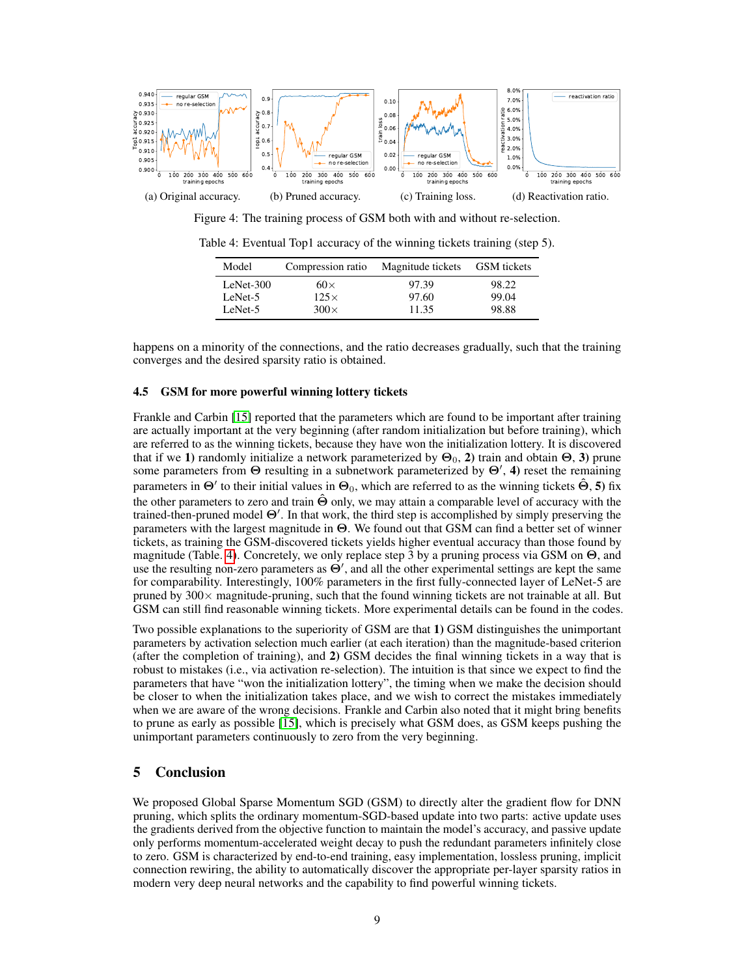

Figure 4: The training process of GSM both with and without re-selection.

| Model       | Compression ratio | Magnitude tickets | GSM tickets |
|-------------|-------------------|-------------------|-------------|
| $LeNet-300$ | $60\times$        | 97.39             | 98.22       |
| LeNet-5     | $125\times$       | 97.60             | 99.04       |
| LeNet-5     | $300\times$       | 11.35             | 98.88       |

Table 4: Eventual Top1 accuracy of the winning tickets training (step 5).

happens on a minority of the connections, and the ratio decreases gradually, such that the training converges and the desired sparsity ratio is obtained.

#### 4.5 GSM for more powerful winning lottery tickets

Frankle and Carbin [15] reported that the parameters which are found to be important after training are actually important at the very beginning (after random initialization but before training), which are referred to as the winning tickets, because they have won the initialization lottery. It is discovered that if we 1) randomly initialize a network parameterized by  $\Theta_0$ , 2) train and obtain  $\Theta$ , 3) prune some parameters from  $\Theta$  resulting in a subnetwork parameterized by  $\Theta'$ , 4) reset the remaining parameters in  $\Theta'$  to their initial values in  $\Theta_0$ , which are referred to as the winning tickets  $\hat{\Theta}$ , 5) fix the other parameters to zero and train  $\hat{\Theta}$  only, we may attain a comparable level of accuracy with the trained-then-pruned model  $\Theta'$ . In that work, the third step is accomplished by simply preserving the parameters with the largest magnitude in Θ. We found out that GSM can find a better set of winner tickets, as training the GSM-discovered tickets yields higher eventual accuracy than those found by magnitude (Table. 4). Concretely, we only replace step 3 by a pruning process via GSM on Θ, and use the resulting non-zero parameters as  $\Theta'$ , and all the other experimental settings are kept the same for comparability. Interestingly, 100% parameters in the first fully-connected layer of LeNet-5 are pruned by  $300\times$  magnitude-pruning, such that the found winning tickets are not trainable at all. But GSM can still find reasonable winning tickets. More experimental details can be found in the codes.

Two possible explanations to the superiority of GSM are that 1) GSM distinguishes the unimportant parameters by activation selection much earlier (at each iteration) than the magnitude-based criterion (after the completion of training), and 2) GSM decides the final winning tickets in a way that is robust to mistakes (i.e., via activation re-selection). The intuition is that since we expect to find the parameters that have "won the initialization lottery", the timing when we make the decision should be closer to when the initialization takes place, and we wish to correct the mistakes immediately when we are aware of the wrong decisions. Frankle and Carbin also noted that it might bring benefits to prune as early as possible [15], which is precisely what GSM does, as GSM keeps pushing the unimportant parameters continuously to zero from the very beginning.

# 5 Conclusion

We proposed Global Sparse Momentum SGD (GSM) to directly alter the gradient flow for DNN pruning, which splits the ordinary momentum-SGD-based update into two parts: active update uses the gradients derived from the objective function to maintain the model's accuracy, and passive update only performs momentum-accelerated weight decay to push the redundant parameters infinitely close to zero. GSM is characterized by end-to-end training, easy implementation, lossless pruning, implicit connection rewiring, the ability to automatically discover the appropriate per-layer sparsity ratios in modern very deep neural networks and the capability to find powerful winning tickets.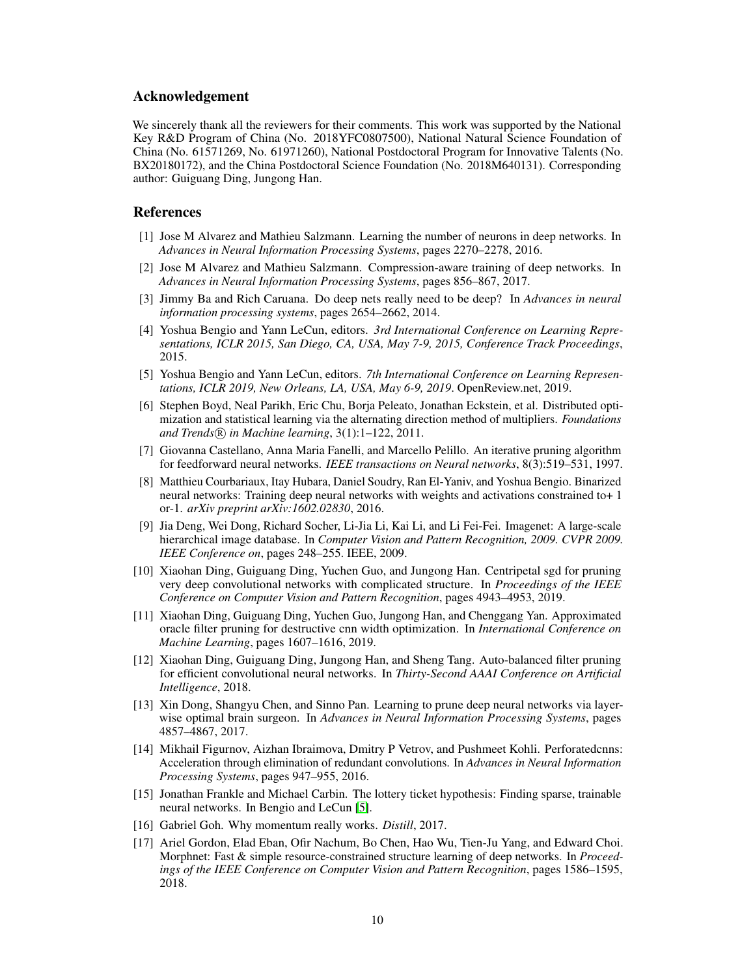## Acknowledgement

We sincerely thank all the reviewers for their comments. This work was supported by the National Key R&D Program of China (No. 2018YFC0807500), National Natural Science Foundation of China (No. 61571269, No. 61971260), National Postdoctoral Program for Innovative Talents (No. BX20180172), and the China Postdoctoral Science Foundation (No. 2018M640131). Corresponding author: Guiguang Ding, Jungong Han.

## References

- [1] Jose M Alvarez and Mathieu Salzmann. Learning the number of neurons in deep networks. In *Advances in Neural Information Processing Systems*, pages 2270–2278, 2016.
- [2] Jose M Alvarez and Mathieu Salzmann. Compression-aware training of deep networks. In *Advances in Neural Information Processing Systems*, pages 856–867, 2017.
- [3] Jimmy Ba and Rich Caruana. Do deep nets really need to be deep? In *Advances in neural information processing systems*, pages 2654–2662, 2014.
- [4] Yoshua Bengio and Yann LeCun, editors. *3rd International Conference on Learning Representations, ICLR 2015, San Diego, CA, USA, May 7-9, 2015, Conference Track Proceedings*, 2015.
- [5] Yoshua Bengio and Yann LeCun, editors. *7th International Conference on Learning Representations, ICLR 2019, New Orleans, LA, USA, May 6-9, 2019*. OpenReview.net, 2019.
- [6] Stephen Boyd, Neal Parikh, Eric Chu, Borja Peleato, Jonathan Eckstein, et al. Distributed optimization and statistical learning via the alternating direction method of multipliers. *Foundations and Trends* <sup>R</sup> *in Machine learning*, 3(1):1–122, 2011.
- [7] Giovanna Castellano, Anna Maria Fanelli, and Marcello Pelillo. An iterative pruning algorithm for feedforward neural networks. *IEEE transactions on Neural networks*, 8(3):519–531, 1997.
- [8] Matthieu Courbariaux, Itay Hubara, Daniel Soudry, Ran El-Yaniv, and Yoshua Bengio. Binarized neural networks: Training deep neural networks with weights and activations constrained to+ 1 or-1. *arXiv preprint arXiv:1602.02830*, 2016.
- [9] Jia Deng, Wei Dong, Richard Socher, Li-Jia Li, Kai Li, and Li Fei-Fei. Imagenet: A large-scale hierarchical image database. In *Computer Vision and Pattern Recognition, 2009. CVPR 2009. IEEE Conference on*, pages 248–255. IEEE, 2009.
- [10] Xiaohan Ding, Guiguang Ding, Yuchen Guo, and Jungong Han. Centripetal sgd for pruning very deep convolutional networks with complicated structure. In *Proceedings of the IEEE Conference on Computer Vision and Pattern Recognition*, pages 4943–4953, 2019.
- [11] Xiaohan Ding, Guiguang Ding, Yuchen Guo, Jungong Han, and Chenggang Yan. Approximated oracle filter pruning for destructive cnn width optimization. In *International Conference on Machine Learning*, pages 1607–1616, 2019.
- [12] Xiaohan Ding, Guiguang Ding, Jungong Han, and Sheng Tang. Auto-balanced filter pruning for efficient convolutional neural networks. In *Thirty-Second AAAI Conference on Artificial Intelligence*, 2018.
- [13] Xin Dong, Shangyu Chen, and Sinno Pan. Learning to prune deep neural networks via layerwise optimal brain surgeon. In *Advances in Neural Information Processing Systems*, pages 4857–4867, 2017.
- [14] Mikhail Figurnov, Aizhan Ibraimova, Dmitry P Vetrov, and Pushmeet Kohli. Perforatedcnns: Acceleration through elimination of redundant convolutions. In *Advances in Neural Information Processing Systems*, pages 947–955, 2016.
- [15] Jonathan Frankle and Michael Carbin. The lottery ticket hypothesis: Finding sparse, trainable neural networks. In Bengio and LeCun [5].
- [16] Gabriel Goh. Why momentum really works. *Distill*, 2017.
- [17] Ariel Gordon, Elad Eban, Ofir Nachum, Bo Chen, Hao Wu, Tien-Ju Yang, and Edward Choi. Morphnet: Fast & simple resource-constrained structure learning of deep networks. In *Proceedings of the IEEE Conference on Computer Vision and Pattern Recognition*, pages 1586–1595, 2018.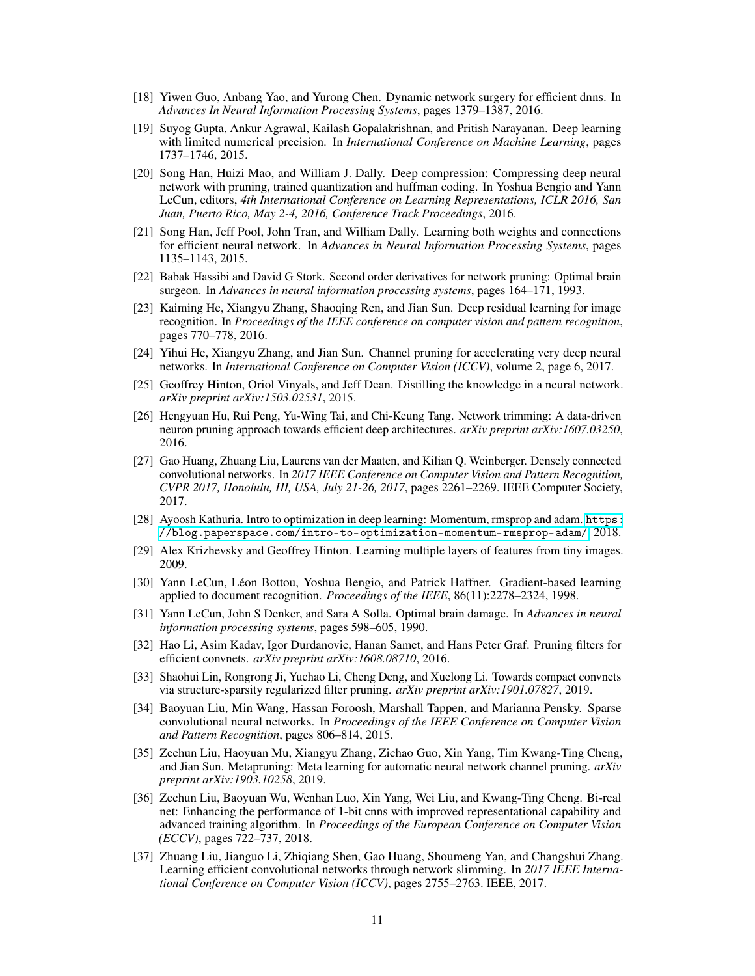- [18] Yiwen Guo, Anbang Yao, and Yurong Chen. Dynamic network surgery for efficient dnns. In *Advances In Neural Information Processing Systems*, pages 1379–1387, 2016.
- [19] Suyog Gupta, Ankur Agrawal, Kailash Gopalakrishnan, and Pritish Narayanan. Deep learning with limited numerical precision. In *International Conference on Machine Learning*, pages 1737–1746, 2015.
- [20] Song Han, Huizi Mao, and William J. Dally. Deep compression: Compressing deep neural network with pruning, trained quantization and huffman coding. In Yoshua Bengio and Yann LeCun, editors, *4th International Conference on Learning Representations, ICLR 2016, San Juan, Puerto Rico, May 2-4, 2016, Conference Track Proceedings*, 2016.
- [21] Song Han, Jeff Pool, John Tran, and William Dally. Learning both weights and connections for efficient neural network. In *Advances in Neural Information Processing Systems*, pages 1135–1143, 2015.
- [22] Babak Hassibi and David G Stork. Second order derivatives for network pruning: Optimal brain surgeon. In *Advances in neural information processing systems*, pages 164–171, 1993.
- [23] Kaiming He, Xiangyu Zhang, Shaoqing Ren, and Jian Sun. Deep residual learning for image recognition. In *Proceedings of the IEEE conference on computer vision and pattern recognition*, pages 770–778, 2016.
- [24] Yihui He, Xiangyu Zhang, and Jian Sun. Channel pruning for accelerating very deep neural networks. In *International Conference on Computer Vision (ICCV)*, volume 2, page 6, 2017.
- [25] Geoffrey Hinton, Oriol Vinyals, and Jeff Dean. Distilling the knowledge in a neural network. *arXiv preprint arXiv:1503.02531*, 2015.
- [26] Hengyuan Hu, Rui Peng, Yu-Wing Tai, and Chi-Keung Tang. Network trimming: A data-driven neuron pruning approach towards efficient deep architectures. *arXiv preprint arXiv:1607.03250*, 2016.
- [27] Gao Huang, Zhuang Liu, Laurens van der Maaten, and Kilian Q. Weinberger. Densely connected convolutional networks. In *2017 IEEE Conference on Computer Vision and Pattern Recognition, CVPR 2017, Honolulu, HI, USA, July 21-26, 2017*, pages 2261–2269. IEEE Computer Society, 2017.
- [28] Ayoosh Kathuria. Intro to optimization in deep learning: Momentum, rmsprop and adam. [https:](https://blog.paperspace.com/intro-to-optimization-momentum-rmsprop-adam/) [//blog.paperspace.com/intro-to-optimization-momentum-rmsprop-adam/](https://blog.paperspace.com/intro-to-optimization-momentum-rmsprop-adam/), 2018.
- [29] Alex Krizhevsky and Geoffrey Hinton. Learning multiple layers of features from tiny images. 2009.
- [30] Yann LeCun, Léon Bottou, Yoshua Bengio, and Patrick Haffner. Gradient-based learning applied to document recognition. *Proceedings of the IEEE*, 86(11):2278–2324, 1998.
- [31] Yann LeCun, John S Denker, and Sara A Solla. Optimal brain damage. In *Advances in neural information processing systems*, pages 598–605, 1990.
- [32] Hao Li, Asim Kadav, Igor Durdanovic, Hanan Samet, and Hans Peter Graf. Pruning filters for efficient convnets. *arXiv preprint arXiv:1608.08710*, 2016.
- [33] Shaohui Lin, Rongrong Ji, Yuchao Li, Cheng Deng, and Xuelong Li. Towards compact convnets via structure-sparsity regularized filter pruning. *arXiv preprint arXiv:1901.07827*, 2019.
- [34] Baoyuan Liu, Min Wang, Hassan Foroosh, Marshall Tappen, and Marianna Pensky. Sparse convolutional neural networks. In *Proceedings of the IEEE Conference on Computer Vision and Pattern Recognition*, pages 806–814, 2015.
- [35] Zechun Liu, Haoyuan Mu, Xiangyu Zhang, Zichao Guo, Xin Yang, Tim Kwang-Ting Cheng, and Jian Sun. Metapruning: Meta learning for automatic neural network channel pruning. *arXiv preprint arXiv:1903.10258*, 2019.
- [36] Zechun Liu, Baoyuan Wu, Wenhan Luo, Xin Yang, Wei Liu, and Kwang-Ting Cheng. Bi-real net: Enhancing the performance of 1-bit cnns with improved representational capability and advanced training algorithm. In *Proceedings of the European Conference on Computer Vision (ECCV)*, pages 722–737, 2018.
- [37] Zhuang Liu, Jianguo Li, Zhiqiang Shen, Gao Huang, Shoumeng Yan, and Changshui Zhang. Learning efficient convolutional networks through network slimming. In *2017 IEEE International Conference on Computer Vision (ICCV)*, pages 2755–2763. IEEE, 2017.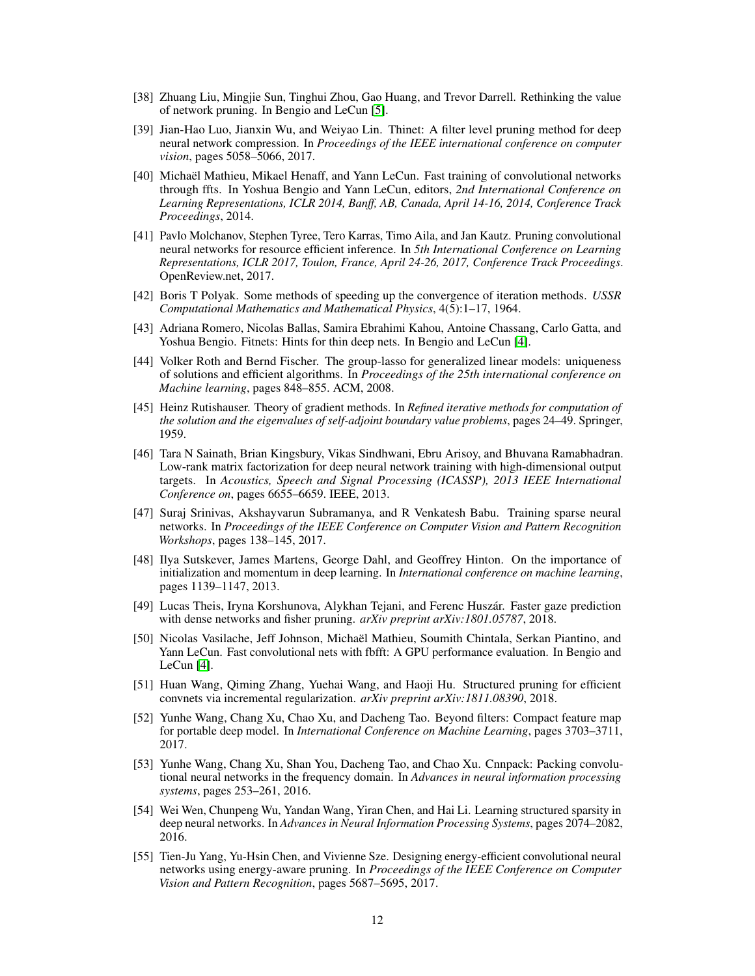- [38] Zhuang Liu, Mingjie Sun, Tinghui Zhou, Gao Huang, and Trevor Darrell. Rethinking the value of network pruning. In Bengio and LeCun [5].
- [39] Jian-Hao Luo, Jianxin Wu, and Weiyao Lin. Thinet: A filter level pruning method for deep neural network compression. In *Proceedings of the IEEE international conference on computer vision*, pages 5058–5066, 2017.
- [40] Michaël Mathieu, Mikael Henaff, and Yann LeCun. Fast training of convolutional networks through ffts. In Yoshua Bengio and Yann LeCun, editors, *2nd International Conference on Learning Representations, ICLR 2014, Banff, AB, Canada, April 14-16, 2014, Conference Track Proceedings*, 2014.
- [41] Pavlo Molchanov, Stephen Tyree, Tero Karras, Timo Aila, and Jan Kautz. Pruning convolutional neural networks for resource efficient inference. In *5th International Conference on Learning Representations, ICLR 2017, Toulon, France, April 24-26, 2017, Conference Track Proceedings*. OpenReview.net, 2017.
- [42] Boris T Polyak. Some methods of speeding up the convergence of iteration methods. *USSR Computational Mathematics and Mathematical Physics*, 4(5):1–17, 1964.
- [43] Adriana Romero, Nicolas Ballas, Samira Ebrahimi Kahou, Antoine Chassang, Carlo Gatta, and Yoshua Bengio. Fitnets: Hints for thin deep nets. In Bengio and LeCun [4].
- [44] Volker Roth and Bernd Fischer. The group-lasso for generalized linear models: uniqueness of solutions and efficient algorithms. In *Proceedings of the 25th international conference on Machine learning*, pages 848–855. ACM, 2008.
- [45] Heinz Rutishauser. Theory of gradient methods. In *Refined iterative methods for computation of the solution and the eigenvalues of self-adjoint boundary value problems*, pages 24–49. Springer, 1959.
- [46] Tara N Sainath, Brian Kingsbury, Vikas Sindhwani, Ebru Arisoy, and Bhuvana Ramabhadran. Low-rank matrix factorization for deep neural network training with high-dimensional output targets. In *Acoustics, Speech and Signal Processing (ICASSP), 2013 IEEE International Conference on*, pages 6655–6659. IEEE, 2013.
- [47] Suraj Srinivas, Akshayvarun Subramanya, and R Venkatesh Babu. Training sparse neural networks. In *Proceedings of the IEEE Conference on Computer Vision and Pattern Recognition Workshops*, pages 138–145, 2017.
- [48] Ilya Sutskever, James Martens, George Dahl, and Geoffrey Hinton. On the importance of initialization and momentum in deep learning. In *International conference on machine learning*, pages 1139–1147, 2013.
- [49] Lucas Theis, Iryna Korshunova, Alykhan Tejani, and Ferenc Huszár. Faster gaze prediction with dense networks and fisher pruning. *arXiv preprint arXiv:1801.05787*, 2018.
- [50] Nicolas Vasilache, Jeff Johnson, Michaël Mathieu, Soumith Chintala, Serkan Piantino, and Yann LeCun. Fast convolutional nets with fbfft: A GPU performance evaluation. In Bengio and LeCun [4].
- [51] Huan Wang, Qiming Zhang, Yuehai Wang, and Haoji Hu. Structured pruning for efficient convnets via incremental regularization. *arXiv preprint arXiv:1811.08390*, 2018.
- [52] Yunhe Wang, Chang Xu, Chao Xu, and Dacheng Tao. Beyond filters: Compact feature map for portable deep model. In *International Conference on Machine Learning*, pages 3703–3711, 2017.
- [53] Yunhe Wang, Chang Xu, Shan You, Dacheng Tao, and Chao Xu. Cnnpack: Packing convolutional neural networks in the frequency domain. In *Advances in neural information processing systems*, pages 253–261, 2016.
- [54] Wei Wen, Chunpeng Wu, Yandan Wang, Yiran Chen, and Hai Li. Learning structured sparsity in deep neural networks. In *Advances in Neural Information Processing Systems*, pages 2074–2082, 2016.
- [55] Tien-Ju Yang, Yu-Hsin Chen, and Vivienne Sze. Designing energy-efficient convolutional neural networks using energy-aware pruning. In *Proceedings of the IEEE Conference on Computer Vision and Pattern Recognition*, pages 5687–5695, 2017.